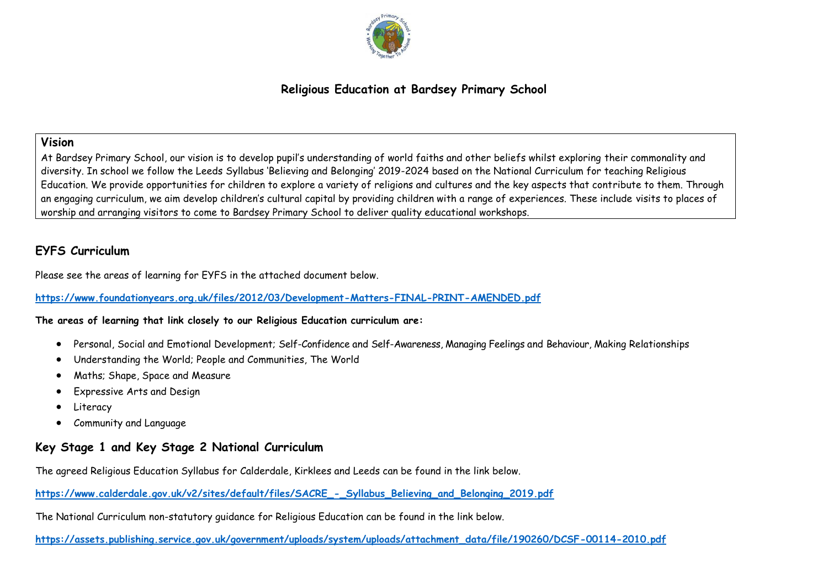

# **Religious Education at Bardsey Primary School**

## **Vision**

At Bardsey Primary School, our vision is to develop pupil's understanding of world faiths and other beliefs whilst exploring their commonality and diversity. In school we follow the Leeds Syllabus 'Believing and Belonging' 2019-2024 based on the National Curriculum for teaching Religious Education. We provide opportunities for children to explore a variety of religions and cultures and the key aspects that contribute to them. Through an engaging curriculum, we aim develop children's cultural capital by providing children with a range of experiences. These include visits to places of worship and arranging visitors to come to Bardsey Primary School to deliver quality educational workshops.

# **EYFS Curriculum**

Please see the areas of learning for EYFS in the attached document below.

#### **<https://www.foundationyears.org.uk/files/2012/03/Development-Matters-FINAL-PRINT-AMENDED.pdf>**

#### **The areas of learning that link closely to our Religious Education curriculum are:**

- Personal, Social and Emotional Development; Self-Confidence and Self-Awareness, Managing Feelings and Behaviour, Making Relationships
- Understanding the World; People and Communities, The World
- Maths; Shape, Space and Measure
- Expressive Arts and Design
- Literacy
- Community and Language

# **Key Stage 1 and Key Stage 2 National Curriculum**

The agreed Religious Education Syllabus for Calderdale, Kirklees and Leeds can be found in the link below.

**[https://www.calderdale.gov.uk/v2/sites/default/files/SACRE\\_-\\_Syllabus\\_Believing\\_and\\_Belonging\\_2019.pdf](https://www.calderdale.gov.uk/v2/sites/default/files/SACRE_-_Syllabus_Believing_and_Belonging_2019.pdf)**

The National Curriculum non-statutory guidance for Religious Education can be found in the link below.

**[https://assets.publishing.service.gov.uk/government/uploads/system/uploads/attachment\\_data/file/190260/DCSF-00114-2010.pdf](https://assets.publishing.service.gov.uk/government/uploads/system/uploads/attachment_data/file/190260/DCSF-00114-2010.pdf)**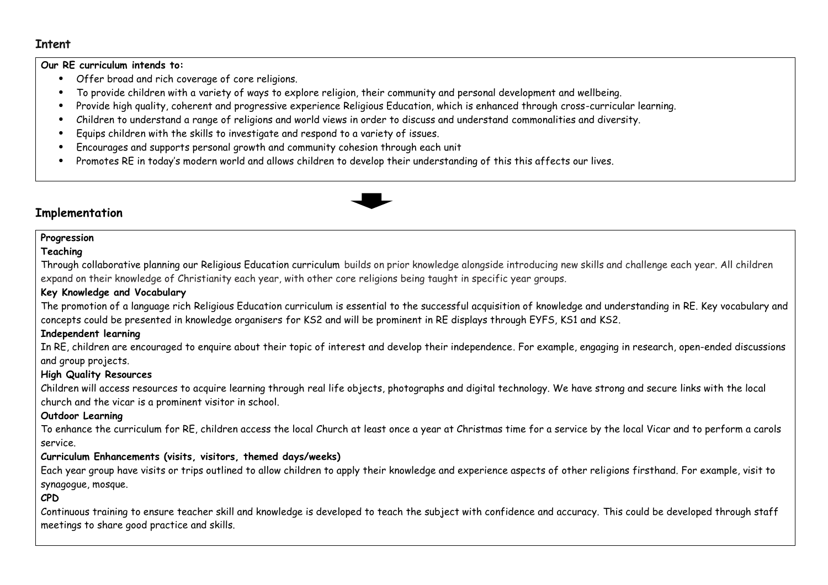# **Intent**

#### **Our RE curriculum intends to:**

- Offer broad and rich coverage of core religions.
- To provide children with a variety of ways to explore religion, their community and personal development and wellbeing.
- Provide high quality, coherent and progressive experience Religious Education, which is enhanced through cross-curricular learning.
- Children to understand a range of religions and world views in order to discuss and understand commonalities and diversity.
- Equips children with the skills to investigate and respond to a variety of issues.
- Encourages and supports personal growth and community cohesion through each unit
- Promotes RE in today's modern world and allows children to develop their understanding of this this affects our lives.

# **Implementation**

## **Progression**

#### **Teaching**

Through collaborative planning our Religious Education curriculum builds on prior knowledge alongside introducing new skills and challenge each year. All children expand on their knowledge of Christianity each year, with other core religions being taught in specific year groups.

#### **Key Knowledge and Vocabulary**

The promotion of a language rich Religious Education curriculum is essential to the successful acquisition of knowledge and understanding in RE. Key vocabulary and concepts could be presented in knowledge organisers for KS2 and will be prominent in RE displays through EYFS, KS1 and KS2.

## **Independent learning**

In RE, children are encouraged to enquire about their topic of interest and develop their independence. For example, engaging in research, open-ended discussions and group projects.

#### **High Quality Resources**

Children will access resources to acquire learning through real life objects, photographs and digital technology. We have strong and secure links with the local church and the vicar is a prominent visitor in school.

#### **Outdoor Learning**

To enhance the curriculum for RE, children access the local Church at least once a year at Christmas time for a service by the local Vicar and to perform a carols service.

#### **Curriculum Enhancements (visits, visitors, themed days/weeks)**

Each year group have visits or trips outlined to allow children to apply their knowledge and experience aspects of other religions firsthand. For example, visit to synagogue, mosque.

## **CPD**

Continuous training to ensure teacher skill and knowledge is developed to teach the subject with confidence and accuracy. This could be developed through staff meetings to share good practice and skills.

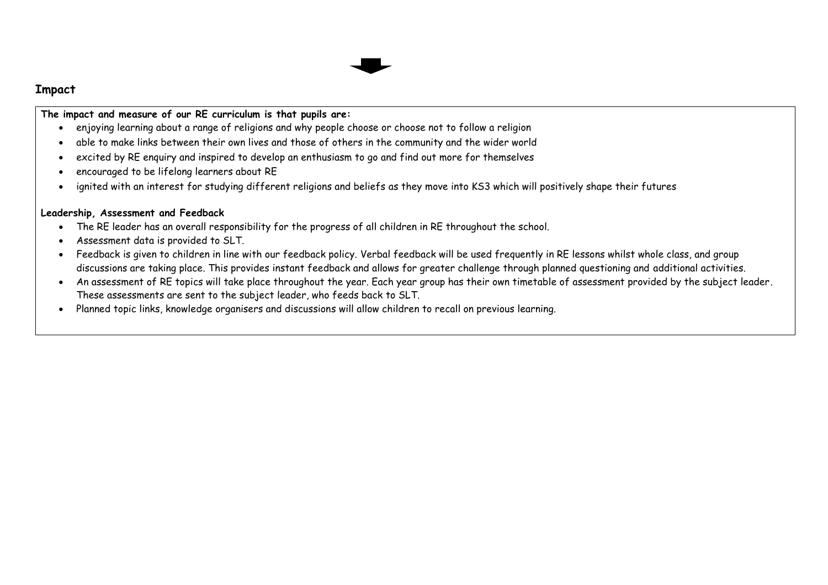

# **Impact**

**The impact and measure of our RE curriculum is that pupils are:**

- enjoying learning about a range of religions and why people choose or choose not to follow a religion
- able to make links between their own lives and those of others in the community and the wider world
- excited by RE enquiry and inspired to develop an enthusiasm to go and find out more for themselves
- encouraged to be lifelong learners about RE
- ignited with an interest for studying different religions and beliefs as they move into KS3 which will positively shape their futures

## **Leadership, Assessment and Feedback**

- The RE leader has an overall responsibility for the progress of all children in RE throughout the school.
- Assessment data is provided to SLT.
- Feedback is given to children in line with our feedback policy. Verbal feedback will be used frequently in RE lessons whilst whole class, and group discussions are taking place. This provides instant feedback and allows for greater challenge through planned questioning and additional activities.
- An assessment of RE topics will take place throughout the year. Each year group has their own timetable of assessment provided by the subject leader. These assessments are sent to the subject leader, who feeds back to SLT.
- Planned topic links, knowledge organisers and discussions will allow children to recall on previous learning.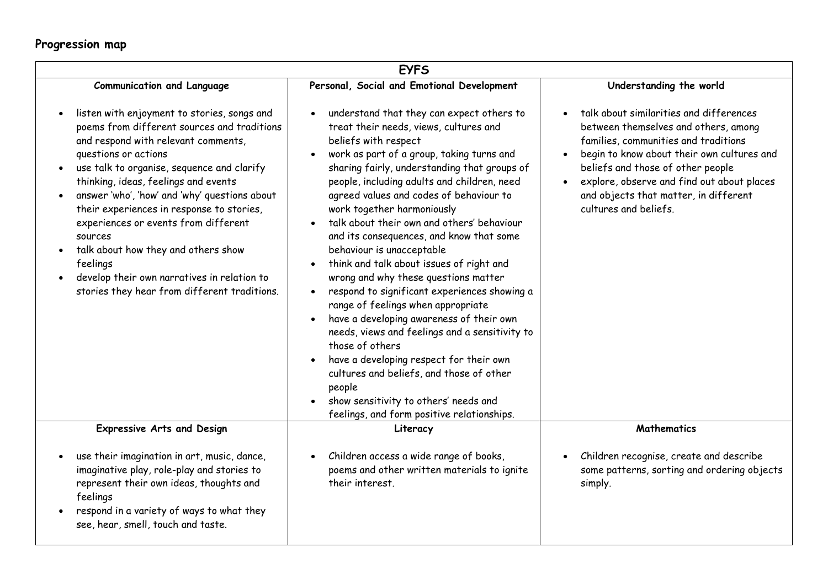# **Progression map**

| <b>EYFS</b>                                                                                                                                                                                                                                                                                                                                                                                                                                                                                                                                               |                                                                                                                                                                                                                                                                                                                                                                                                                                                                                                                                                                                                                                                                                                                                                                                                                                                                                                                                                         |                                                                                                                                                                                                                                                                                                                            |  |  |  |  |  |  |
|-----------------------------------------------------------------------------------------------------------------------------------------------------------------------------------------------------------------------------------------------------------------------------------------------------------------------------------------------------------------------------------------------------------------------------------------------------------------------------------------------------------------------------------------------------------|---------------------------------------------------------------------------------------------------------------------------------------------------------------------------------------------------------------------------------------------------------------------------------------------------------------------------------------------------------------------------------------------------------------------------------------------------------------------------------------------------------------------------------------------------------------------------------------------------------------------------------------------------------------------------------------------------------------------------------------------------------------------------------------------------------------------------------------------------------------------------------------------------------------------------------------------------------|----------------------------------------------------------------------------------------------------------------------------------------------------------------------------------------------------------------------------------------------------------------------------------------------------------------------------|--|--|--|--|--|--|
| <b>Communication and Language</b>                                                                                                                                                                                                                                                                                                                                                                                                                                                                                                                         | Personal, Social and Emotional Development                                                                                                                                                                                                                                                                                                                                                                                                                                                                                                                                                                                                                                                                                                                                                                                                                                                                                                              | Understanding the world                                                                                                                                                                                                                                                                                                    |  |  |  |  |  |  |
| listen with enjoyment to stories, songs and<br>poems from different sources and traditions<br>and respond with relevant comments,<br>questions or actions<br>use talk to organise, sequence and clarify<br>thinking, ideas, feelings and events<br>answer 'who', 'how' and 'why' questions about<br>their experiences in response to stories,<br>experiences or events from different<br><b>SOUPCES</b><br>talk about how they and others show<br>feelings<br>develop their own narratives in relation to<br>stories they hear from different traditions. | understand that they can expect others to<br>treat their needs, views, cultures and<br>beliefs with respect<br>work as part of a group, taking turns and<br>sharing fairly, understanding that groups of<br>people, including adults and children, need<br>agreed values and codes of behaviour to<br>work together harmoniously<br>talk about their own and others' behaviour<br>and its consequences, and know that some<br>behaviour is unacceptable<br>think and talk about issues of right and<br>wrong and why these questions matter<br>respond to significant experiences showing a<br>$\bullet$<br>range of feelings when appropriate<br>have a developing awareness of their own<br>needs, views and feelings and a sensitivity to<br>those of others<br>have a developing respect for their own<br>cultures and beliefs, and those of other<br>people<br>show sensitivity to others' needs and<br>feelings, and form positive relationships. | talk about similarities and differences<br>between themselves and others, among<br>families, communities and traditions<br>begin to know about their own cultures and<br>beliefs and those of other people<br>explore, observe and find out about places<br>and objects that matter, in different<br>cultures and beliefs. |  |  |  |  |  |  |
| <b>Expressive Arts and Design</b>                                                                                                                                                                                                                                                                                                                                                                                                                                                                                                                         | Literacy                                                                                                                                                                                                                                                                                                                                                                                                                                                                                                                                                                                                                                                                                                                                                                                                                                                                                                                                                | <b>Mathematics</b>                                                                                                                                                                                                                                                                                                         |  |  |  |  |  |  |
| use their imagination in art, music, dance,<br>imaginative play, role-play and stories to<br>represent their own ideas, thoughts and<br>feelings<br>respond in a variety of ways to what they<br>see, hear, smell, touch and taste.                                                                                                                                                                                                                                                                                                                       | Children access a wide range of books,<br>poems and other written materials to ignite<br>their interest.                                                                                                                                                                                                                                                                                                                                                                                                                                                                                                                                                                                                                                                                                                                                                                                                                                                | Children recognise, create and describe<br>some patterns, sorting and ordering objects<br>simply.                                                                                                                                                                                                                          |  |  |  |  |  |  |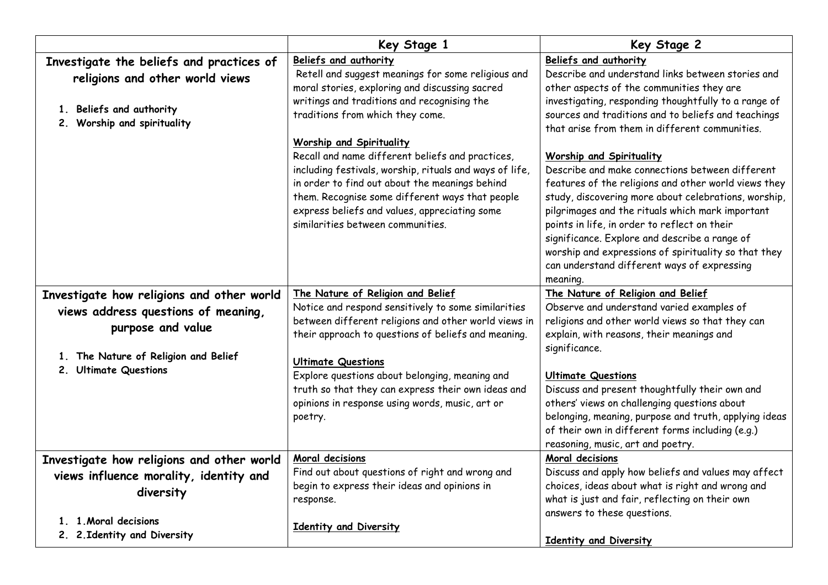|                                                                                                       | Key Stage 1                                                                                                                                                                                                                                                                                                                        | Key Stage 2                                                                                                                                                                                                                                                                                                                                                                                                                                                                |  |  |
|-------------------------------------------------------------------------------------------------------|------------------------------------------------------------------------------------------------------------------------------------------------------------------------------------------------------------------------------------------------------------------------------------------------------------------------------------|----------------------------------------------------------------------------------------------------------------------------------------------------------------------------------------------------------------------------------------------------------------------------------------------------------------------------------------------------------------------------------------------------------------------------------------------------------------------------|--|--|
| Investigate the beliefs and practices of<br>religions and other world views                           | Beliefs and authority<br>Retell and suggest meanings for some religious and                                                                                                                                                                                                                                                        | Beliefs and authority<br>Describe and understand links between stories and<br>other aspects of the communities they are<br>investigating, responding thoughtfully to a range of<br>sources and traditions and to beliefs and teachings<br>that arise from them in different communities.                                                                                                                                                                                   |  |  |
| 1. Beliefs and authority<br>2. Worship and spirituality                                               | moral stories, exploring and discussing sacred<br>writings and traditions and recognising the<br>traditions from which they come.                                                                                                                                                                                                  |                                                                                                                                                                                                                                                                                                                                                                                                                                                                            |  |  |
|                                                                                                       | Worship and Spirituality<br>Recall and name different beliefs and practices,<br>including festivals, worship, rituals and ways of life,<br>in order to find out about the meanings behind<br>them. Recognise some different ways that people<br>express beliefs and values, appreciating some<br>similarities between communities. | <b>Worship and Spirituality</b><br>Describe and make connections between different<br>features of the religions and other world views they<br>study, discovering more about celebrations, worship,<br>pilgrimages and the rituals which mark important<br>points in life, in order to reflect on their<br>significance. Explore and describe a range of<br>worship and expressions of spirituality so that they<br>can understand different ways of expressing<br>meaning. |  |  |
| Investigate how religions and other world<br>views address questions of meaning,<br>purpose and value | The Nature of Religion and Belief<br>Notice and respond sensitively to some similarities<br>between different religions and other world views in<br>their approach to questions of beliefs and meaning.                                                                                                                            | The Nature of Religion and Belief<br>Observe and understand varied examples of<br>religions and other world views so that they can<br>explain, with reasons, their meanings and                                                                                                                                                                                                                                                                                            |  |  |
| 1. The Nature of Religion and Belief<br>2. Ultimate Questions                                         | <b>Ultimate Questions</b><br>Explore questions about belonging, meaning and                                                                                                                                                                                                                                                        | significance.<br><b>Ultimate Questions</b>                                                                                                                                                                                                                                                                                                                                                                                                                                 |  |  |
|                                                                                                       | truth so that they can express their own ideas and<br>opinions in response using words, music, art or<br>poetry.                                                                                                                                                                                                                   | Discuss and present thoughtfully their own and<br>others' views on challenging questions about<br>belonging, meaning, purpose and truth, applying ideas<br>of their own in different forms including (e.g.)<br>reasoning, music, art and poetry.                                                                                                                                                                                                                           |  |  |
| Investigate how religions and other world<br>views influence morality, identity and<br>diversity      | Moral decisions<br>Find out about questions of right and wrong and<br>begin to express their ideas and opinions in<br>response.                                                                                                                                                                                                    | Moral decisions<br>Discuss and apply how beliefs and values may affect<br>choices, ideas about what is right and wrong and<br>what is just and fair, reflecting on their own                                                                                                                                                                                                                                                                                               |  |  |
| 1. 1 Moral decisions<br>2. 2. Identity and Diversity                                                  | Identity and Diversity                                                                                                                                                                                                                                                                                                             | answers to these questions.<br>Identity and Diversity                                                                                                                                                                                                                                                                                                                                                                                                                      |  |  |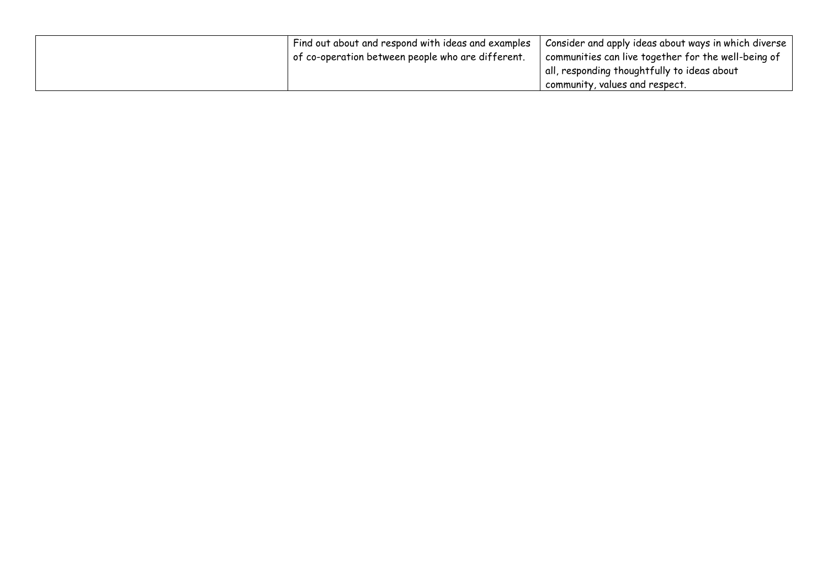| Find out about and respond with ideas and examples<br>of co-operation between people who are different. | Consider and apply ideas about ways in which diverse<br>communities can live together for the well-being of |
|---------------------------------------------------------------------------------------------------------|-------------------------------------------------------------------------------------------------------------|
|                                                                                                         | all, responding thoughtfully to ideas about                                                                 |
|                                                                                                         | community, values and respect.                                                                              |